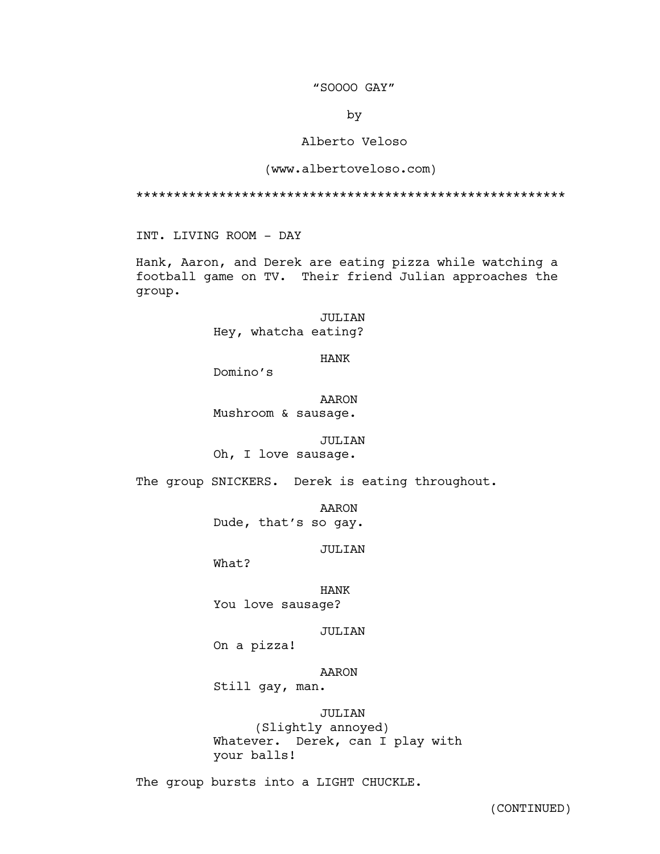## "SOOOO GAY"

by

# Alberto Veloso

### (www.albertoveloso.com)

\*\*\*\*\*\*\*\*\*\*\*\*\*\*\*\*\*\*\*\*\*\*\*\*\*\*\*\*\*\*\*\*\*\*\*\*\*\*\*\*\*\*\*\*\*\*\*\*\*\*\*\*\*\*\*\*\*

INT. LIVING ROOM - DAY

Hank, Aaron, and Derek are eating pizza while watching a football game on TV. Their friend Julian approaches the group.

> JULIAN Hey, whatcha eating?

> > HANK

Domino's

AARON Mushroom & sausage.

#### JULIAN

Oh, I love sausage.

The group SNICKERS. Derek is eating throughout.

AARON

Dude, that's so gay.

JULIAN

What?

HANK You love sausage?

JULIAN

On a pizza!

AARON

Still gay, man.

JULIAN (Slightly annoyed) Whatever. Derek, can I play with your balls!

The group bursts into a LIGHT CHUCKLE.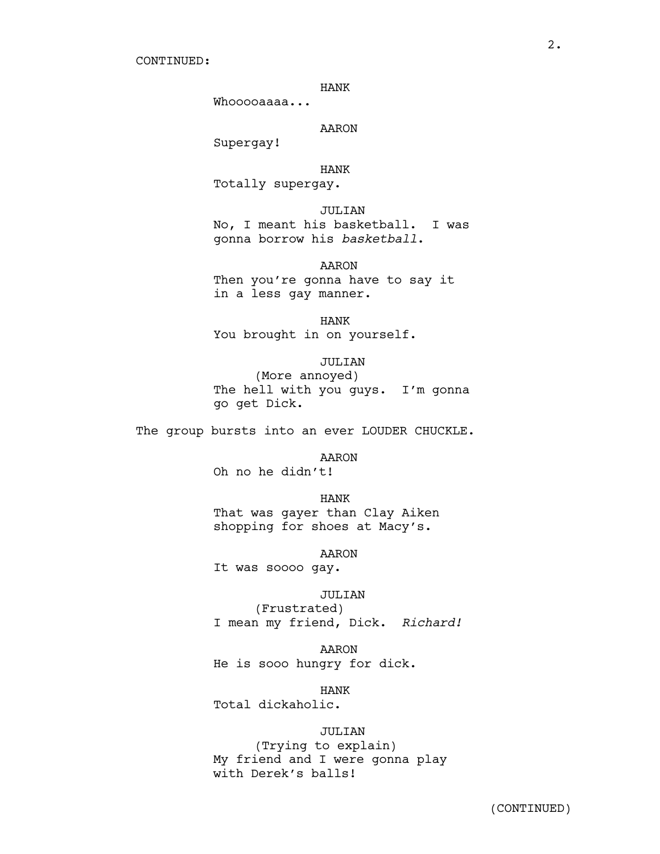#### HANK

Whooooaaaa...

AARON

Supergay!

HANK Totally supergay.

JULIAN

No, I meant his basketball. I was gonna borrow his *basketball*.

AARON

Then you're gonna have to say it in a less gay manner.

HANK You brought in on yourself.

JULIAN

(More annoyed) The hell with you guys. I'm gonna go get Dick.

The group bursts into an ever LOUDER CHUCKLE.

AARON

Oh no he didn't!

HANK

That was gayer than Clay Aiken shopping for shoes at Macy's.

AARON

It was soooo gay.

JULIAN

(Frustrated) I mean my friend, Dick. *Richard!*

AARON

He is sooo hungry for dick.

HANK

Total dickaholic.

JULIAN

(Trying to explain) My friend and I were gonna play with Derek's balls!